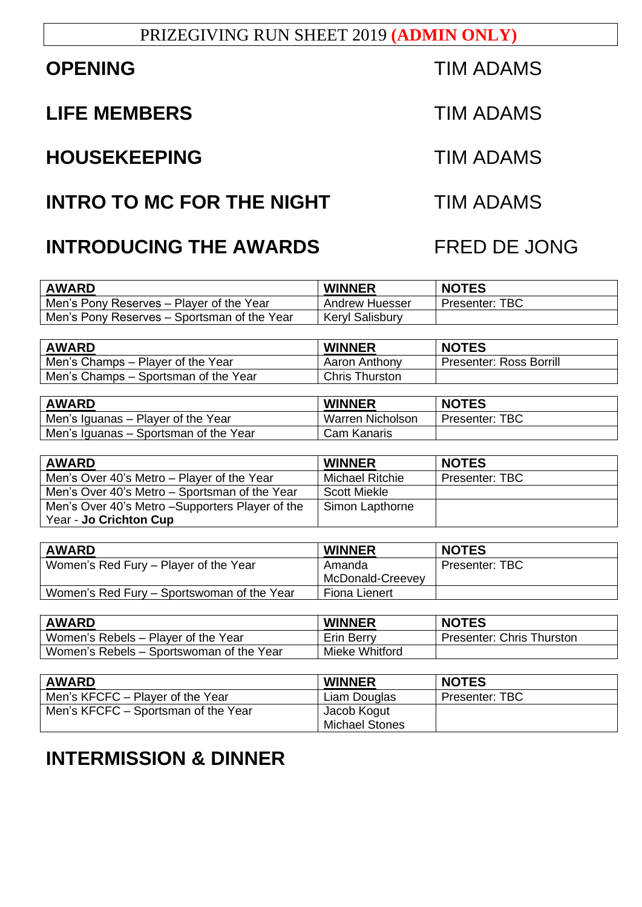#### PRIZEGIVING RUN SHEET 2019 **(ADMIN ONLY)**

### **LIFE MEMBERS** TIM ADAMS

# **HOUSEKEEPING** TIM ADAMS

### **INTRO TO MC FOR THE NIGHT TIM ADAMS**

## **INTRODUCING THE AWARDS FRED DE JONG**

| <b>AWARD</b>                                | <b>WINNER</b>          | <b>NOTES</b>   |
|---------------------------------------------|------------------------|----------------|
| Men's Pony Reserves – Player of the Year    | Andrew Huesser         | Presenter: TBC |
| Men's Pony Reserves – Sportsman of the Year | <b>Keryl Salisbury</b> |                |

| <b>AWARD</b>                         | <b>WINNER</b>         | <b>NOTES</b>                   |
|--------------------------------------|-----------------------|--------------------------------|
| Men's Champs – Player of the Year    | Aaron Anthony         | <b>Presenter: Ross Borrill</b> |
| Men's Champs – Sportsman of the Year | <b>Chris Thurston</b> |                                |

| <b>AWARD</b>                          | <b>WINNER</b>           | <b>NOTES</b>          |
|---------------------------------------|-------------------------|-----------------------|
| Men's Iguanas – Player of the Year    | <b>Warren Nicholson</b> | <b>Presenter: TBC</b> |
| Men's Iguanas – Sportsman of the Year | Cam Kanaris             |                       |

| <b>AWARD</b>                                     | <b>WINNER</b>          | <b>NOTES</b>   |
|--------------------------------------------------|------------------------|----------------|
| Men's Over 40's Metro – Player of the Year       | <b>Michael Ritchie</b> | Presenter: TBC |
| Men's Over 40's Metro – Sportsman of the Year    | <b>Scott Miekle</b>    |                |
| Men's Over 40's Metro – Supporters Player of the | Simon Lapthorne        |                |
| Year - Jo Crichton Cup                           |                        |                |

| <b>AWARD</b>                               | <b>WINNER</b>              | <b>NOTES</b>   |
|--------------------------------------------|----------------------------|----------------|
| Women's Red Fury - Player of the Year      | Amanda<br>McDonald-Creevey | Presenter: TBC |
| Women's Red Fury – Sportswoman of the Year | Fiona Lienert              |                |

| <b>AWARD</b>                             | <b>WINNER</b>  | <b>NOTES</b>                     |
|------------------------------------------|----------------|----------------------------------|
| Women's Rebels – Player of the Year      | Erin Berry     | <b>Presenter: Chris Thurston</b> |
| Women's Rebels – Sportswoman of the Year | Mieke Whitford |                                  |

| <b>AWARD</b>                        | <b>WINNER</b>         | <b>NOTES</b>          |
|-------------------------------------|-----------------------|-----------------------|
| Men's KFCFC – Player of the Year    | Liam Douglas          | <b>Presenter: TBC</b> |
| Men's KFCFC – Sportsman of the Year | Jacob Kogut           |                       |
|                                     | <b>Michael Stones</b> |                       |

# **INTERMISSION & DINNER**

**OPENING TIM ADAMS**